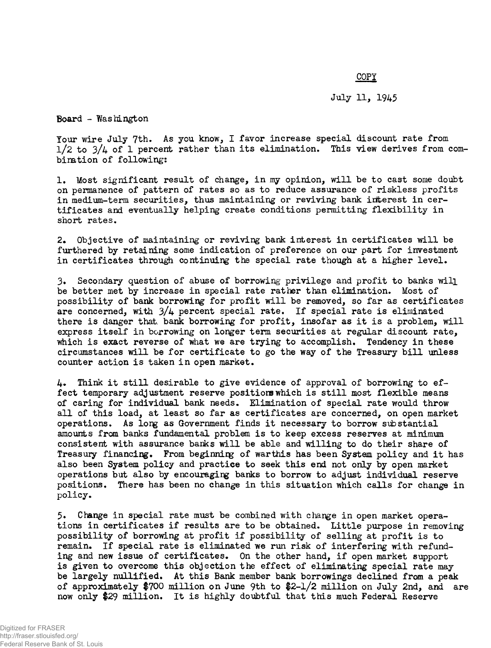## **COPY**

## July 11, 1945

Board - Washington

Your wire July 7th. As you know, I favor increase special discount rate from  $1/2$  to  $3/4$  of 1 percent rather than its elimination. This view derives from combination of following:

1. Most significant result of change, in my opinion, will be to cast some doubt on permanence of pattern of rates so as to reduce assurance of riskless profits in medium-term securities, thus maintaining or reviving bank interest in certificates and eventually helping create conditions permitting flexibility in short rates.

2. Objective of maintaining or reviving bank interest in certificates will be furthered by retaining some indication of preference on our part for investment in certificates through continuing the special rate though at a higher level.

3. Secondary question of abuse of borrowing privilege and profit to banks will be better met by increase in special rate rather than elimination. Most of possibility of bank borrowing for profit will be removed, so far as certificates are concerned, with  $3/4$  percent special rate. If special rate is eliminated there is danger that bank borrowing for profit, insofar as it is a problem, will express itself in borrowing on longer term securities at regular discount rate, which is exact reverse of what we are trying to accomplish. Tendency in these circumstances will be for certificate to go the way of the Treasury bill unless counter action is taken in open market.

 $\mu_{\bullet}$  Think it still desirable to give evidence of approval of borrowing to effect temporary adjustment reserve positions which is still most flexible means of caring for individual bank needs. Elimination of special rate would throw all of this load, at least so far as certificates are concerned, on open market operations. As long as Government finds it necessary to borrow substantial amounts from banks fundamental problem is to keep excess reserves at minimum consistent with assurance banks will be able and willing to do their share of Treasury financing. From beginning of warthis has been System policy and it has also been System policy and practice to seek this end not only by open market operations but also by encouraging banks to borrow to adjust individual reserve positions. There has been no change in this situation which calls for change in policy.

5. Change in special rate must be combined with change in open market operations in certificates if results are to be obtained. Little purpose in removing possibility of borrowing at profit if possibility of selling at profit is to remain. If special rate is eliminated we run risk of interfering with refunding and new issue of certificates. On the other hand, if open market support is given to overcome this objection the effect of eliminating special rate may be largely nullified. At this Bank member bank borrowings declined from a peak of approximately \$700 million on June 9th to \$2-1/2 million on July 2nd, and are now only \$29 million. It is highly doubtful that this much Federal Reserve